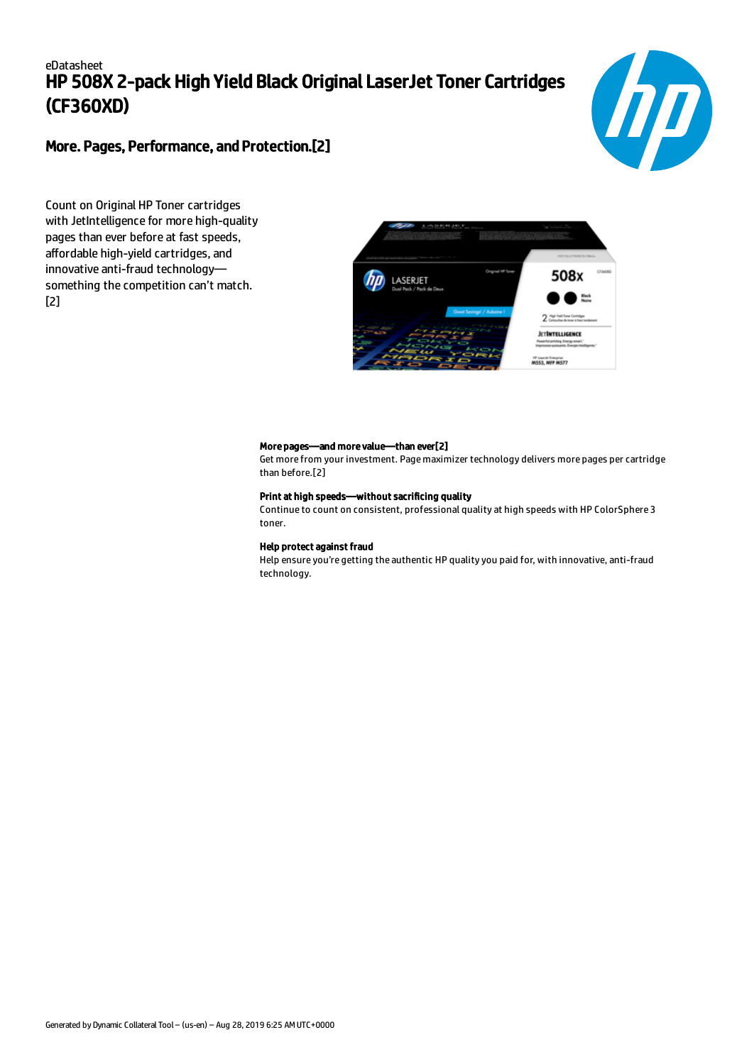# eDatasheet HP 508X 2-pack High Yield Black Original LaserJet Toner Cartridges (CF360XD)



## More. Pages, Performance, and Protection.[2]

Count on Original HP Toner cartridges with JetIntelligence for more high-quality pages than ever before at fast speeds, affordable high-yield cartridges, and innovative anti-fraud technology something the competition can't match. [2]



#### More pages—and more value—than ever[2]

Get more from your investment. Page maximizer technology delivers more pages per cartridge than before.[2]

#### Print at high speeds—without sacrificing quality

Continue to count on consistent, professional quality at high speeds with HP ColorSphere 3 toner.

#### Help protect against fraud

Help ensure you're getting the authentic HP quality you paid for, with innovative, anti-fraud technology.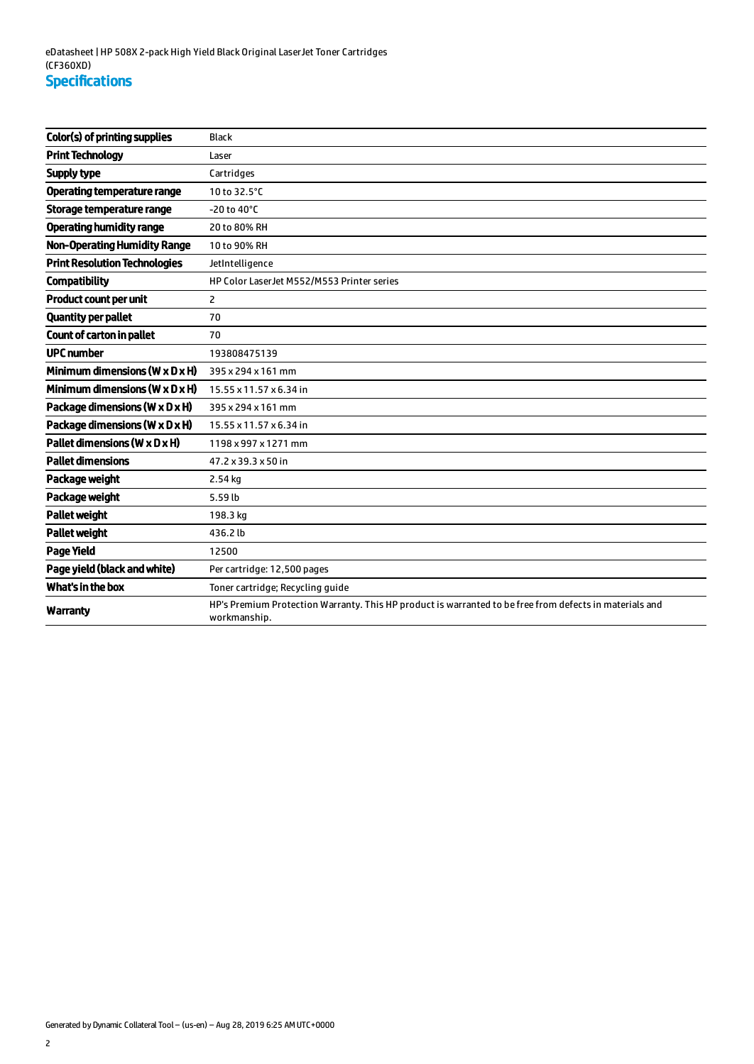| Color(s) of printing supplies                | <b>Black</b>                                                                                                            |
|----------------------------------------------|-------------------------------------------------------------------------------------------------------------------------|
| <b>Print Technology</b>                      | Laser                                                                                                                   |
| Supply type                                  | Cartridges                                                                                                              |
| <b>Operating temperature range</b>           | 10 to 32.5°C                                                                                                            |
| Storage temperature range                    | $-20$ to $40^{\circ}$ C                                                                                                 |
| <b>Operating humidity range</b>              | 20 to 80% RH                                                                                                            |
| <b>Non-Operating Humidity Range</b>          | 10 to 90% RH                                                                                                            |
| <b>Print Resolution Technologies</b>         | JetIntelligence                                                                                                         |
| <b>Compatibility</b>                         | HP Color LaserJet M552/M553 Printer series                                                                              |
| Product count per unit                       | $\overline{2}$                                                                                                          |
| <b>Quantity per pallet</b>                   | 70                                                                                                                      |
| Count of carton in pallet                    | 70                                                                                                                      |
| <b>UPC number</b>                            | 193808475139                                                                                                            |
| Minimum dimensions ( $W \times D \times H$ ) | 395 x 294 x 161 mm                                                                                                      |
| Minimum dimensions ( $W \times D \times H$ ) | 15.55 x 11.57 x 6.34 in                                                                                                 |
| Package dimensions (W x D x H)               | 395 x 294 x 161 mm                                                                                                      |
| Package dimensions (W x D x H)               | 15.55 x 11.57 x 6.34 in                                                                                                 |
| Pallet dimensions (W x D x H)                | 1198 x 997 x 1271 mm                                                                                                    |
| <b>Pallet dimensions</b>                     | 47.2 x 39.3 x 50 in                                                                                                     |
| Package weight                               | 2.54 kg                                                                                                                 |
| Package weight                               | 5.59 lb                                                                                                                 |
| <b>Pallet weight</b>                         | 198.3 kg                                                                                                                |
| <b>Pallet weight</b>                         | 436.2 lb                                                                                                                |
| <b>Page Yield</b>                            | 12500                                                                                                                   |
| Page yield (black and white)                 | Per cartridge: 12,500 pages                                                                                             |
| What's in the box                            | Toner cartridge; Recycling guide                                                                                        |
| Warranty                                     | HP's Premium Protection Warranty. This HP product is warranted to be free from defects in materials and<br>workmanship. |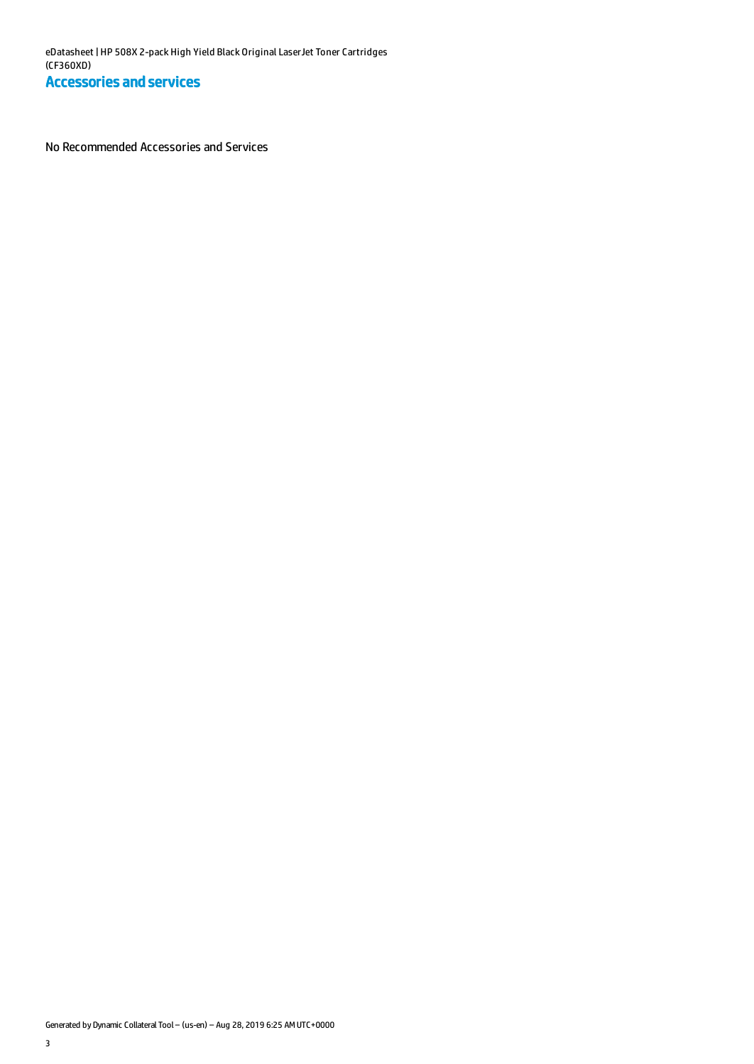No Recommended Accessories and Services